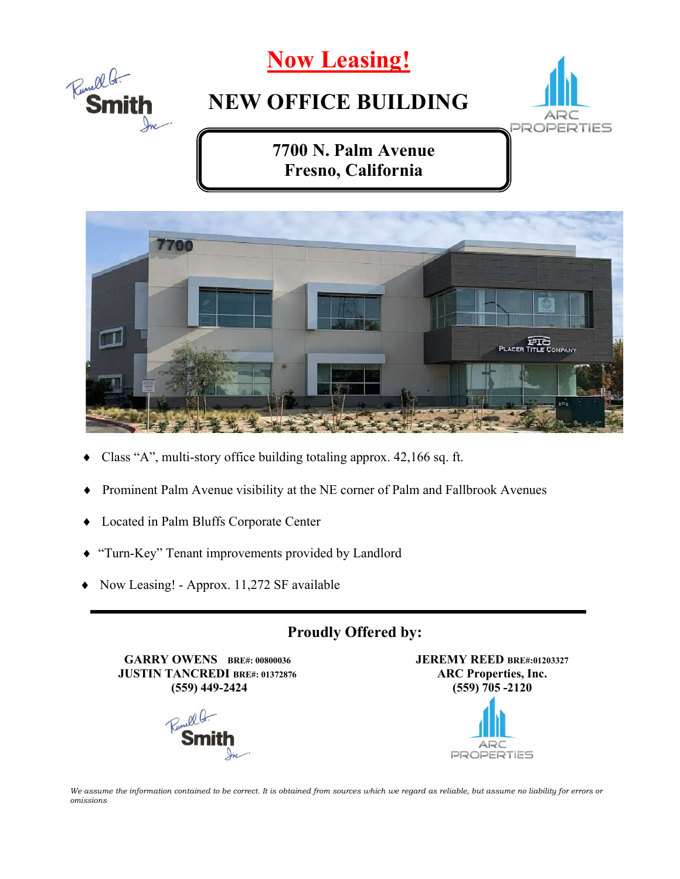



- Class "A", multi-story office building totaling approx. 42,166 sq. ft.
- Prominent Palm Avenue visibility at the NE corner of Palm and Fallbrook Avenues
- Located in Palm Bluffs Corporate Center
- "Turn-Key" Tenant improvements provided by Landlord
- Now Leasing! Approx. 11,272 SF available

#### Proudly Offered by:

GARRY OWENS BRE#: 00800036 JUSTIN TANCREDI BRE#: 01372876 (559) 449-2424



JEREMY REED BRE#:01203327 ARC Properties, Inc. (559) 705 -2120 ARC **PROPERTIES** 

We assume the information contained to be correct. It is obtained from sources which we regard as reliable, but assume no liability for errors or omissions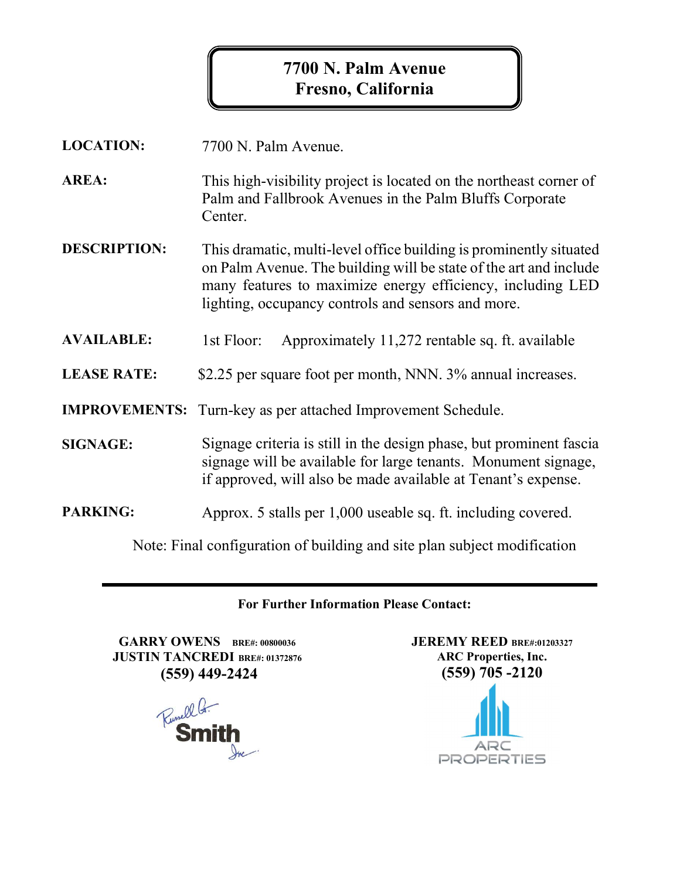#### 7700 N. Palm Avenue Fresno, California

| <b>LOCATION:</b>                                                         | 7700 N. Palm Avenue.                                                                                                                                                                                                                                        |
|--------------------------------------------------------------------------|-------------------------------------------------------------------------------------------------------------------------------------------------------------------------------------------------------------------------------------------------------------|
| <b>AREA:</b>                                                             | This high-visibility project is located on the northeast corner of<br>Palm and Fallbrook Avenues in the Palm Bluffs Corporate<br>Center.                                                                                                                    |
| <b>DESCRIPTION:</b>                                                      | This dramatic, multi-level office building is prominently situated<br>on Palm Avenue. The building will be state of the art and include<br>many features to maximize energy efficiency, including LED<br>lighting, occupancy controls and sensors and more. |
| <b>AVAILABLE:</b>                                                        | Approximately 11,272 rentable sq. ft. available<br>1st Floor:                                                                                                                                                                                               |
| <b>LEASE RATE:</b>                                                       | \$2.25 per square foot per month, NNN. 3% annual increases.                                                                                                                                                                                                 |
| <b>IMPROVEMENTS:</b>                                                     | Turn-key as per attached Improvement Schedule.                                                                                                                                                                                                              |
| <b>SIGNAGE:</b>                                                          | Signage criteria is still in the design phase, but prominent fascia<br>signage will be available for large tenants. Monument signage,<br>if approved, will also be made available at Tenant's expense.                                                      |
| <b>PARKING:</b>                                                          | Approx. 5 stalls per 1,000 useable sq. ft. including covered.                                                                                                                                                                                               |
| Note: Final configuration of building and site plan subject modification |                                                                                                                                                                                                                                                             |

#### For Further Information Please Contact:

GARRY OWENS BRE#: 00800036 JUSTIN TANCREDI BRE#: 01372876 (559) 449-2424



JEREMY REED BRE#:01203327 ARC Properties, Inc. (559) 705 -2120

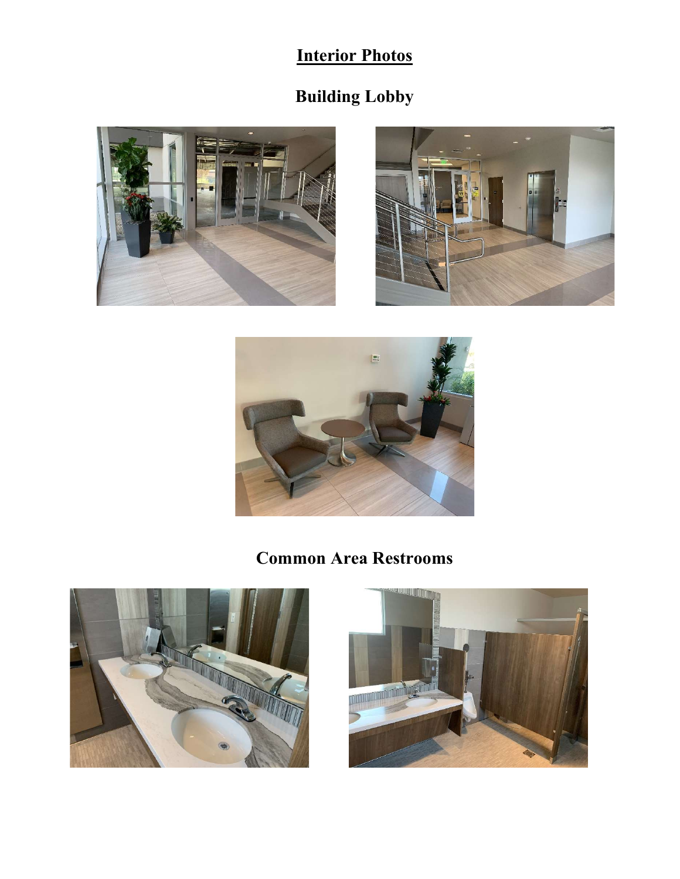## Interior Photos

# Building Lobby





### Common Area Restrooms



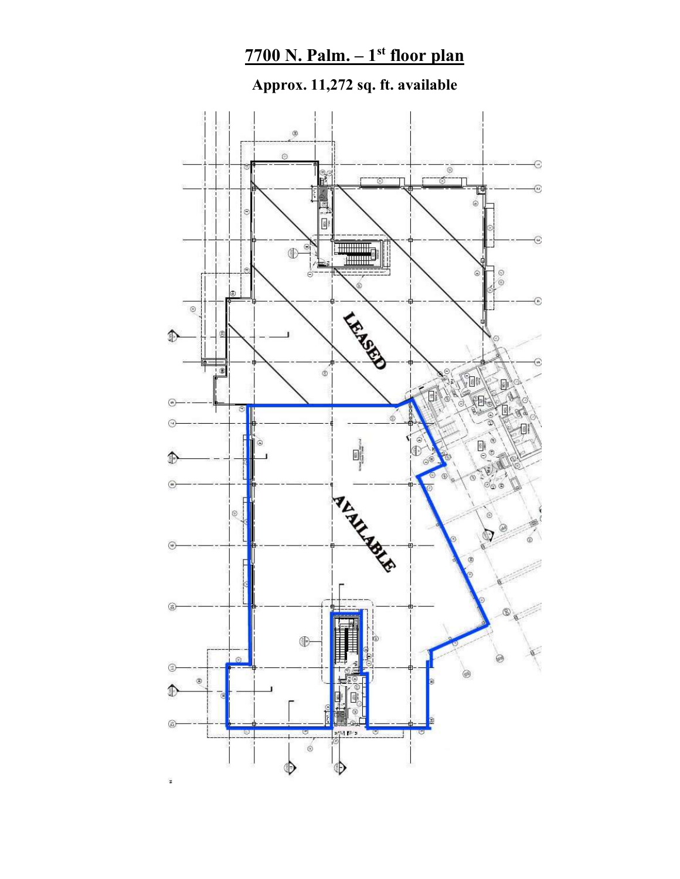### $7700$  N. Palm.  $-1<sup>st</sup>$  floor plan

Approx. 11,272 sq. ft. available

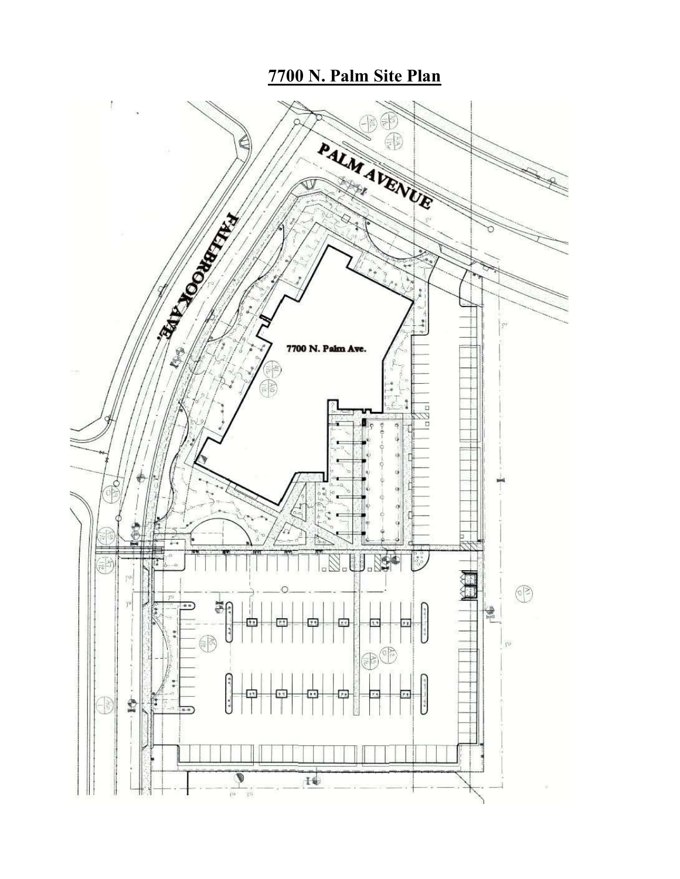#### 7700 N. Palm Site Plan

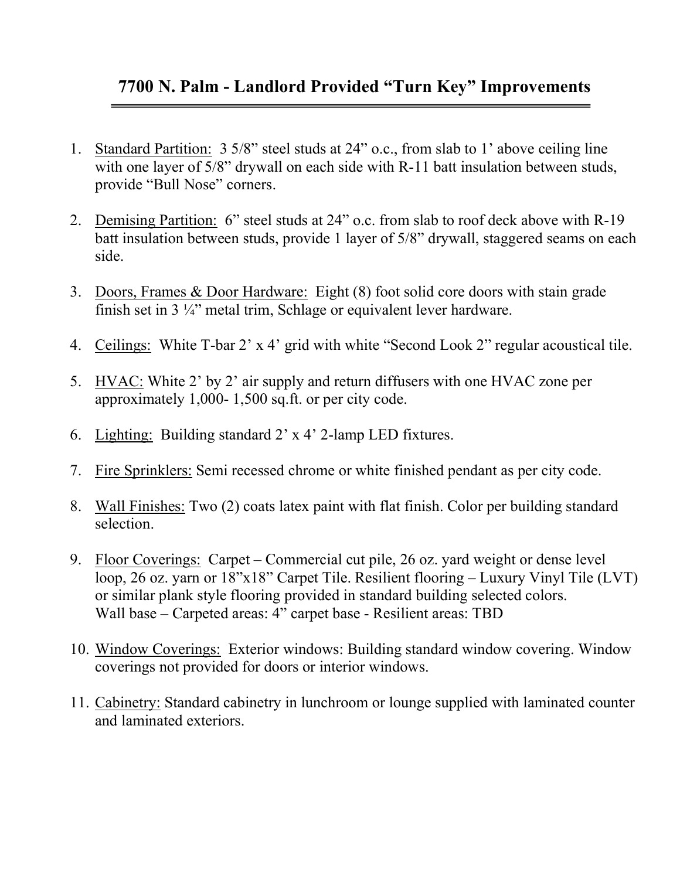#### 7700 N. Palm - Landlord Provided "Turn Key" Improvements

- 1. Standard Partition: 3 5/8" steel studs at 24" o.c., from slab to 1' above ceiling line with one layer of 5/8" drywall on each side with R-11 batt insulation between studs, provide "Bull Nose" corners.
- 2. Demising Partition: 6" steel studs at 24" o.c. from slab to roof deck above with R-19 batt insulation between studs, provide 1 layer of 5/8" drywall, staggered seams on each side.
- 3. Doors, Frames & Door Hardware: Eight (8) foot solid core doors with stain grade finish set in 3 ¼" metal trim, Schlage or equivalent lever hardware.
- 4. Ceilings: White T-bar 2' x 4' grid with white "Second Look 2" regular acoustical tile.
- 5. HVAC: White 2' by 2' air supply and return diffusers with one HVAC zone per approximately 1,000- 1,500 sq.ft. or per city code.
- 6. Lighting: Building standard 2' x 4' 2-lamp LED fixtures.
- 7. Fire Sprinklers: Semi recessed chrome or white finished pendant as per city code.
- 8. Wall Finishes: Two (2) coats latex paint with flat finish. Color per building standard selection.
- 9. Floor Coverings: Carpet Commercial cut pile, 26 oz. yard weight or dense level loop, 26 oz. yarn or 18"x18" Carpet Tile. Resilient flooring – Luxury Vinyl Tile (LVT) or similar plank style flooring provided in standard building selected colors. Wall base – Carpeted areas: 4" carpet base - Resilient areas: TBD
- 10. Window Coverings: Exterior windows: Building standard window covering. Window coverings not provided for doors or interior windows.
- 11. Cabinetry: Standard cabinetry in lunchroom or lounge supplied with laminated counter and laminated exteriors.